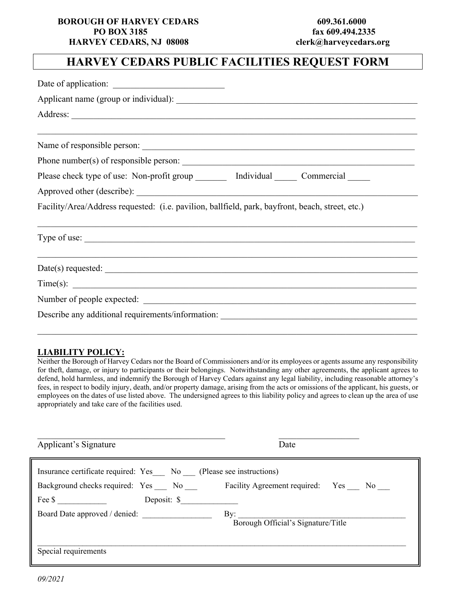#### **BOROUGH OF HARVEY CEDARS** 609.361.6000  **PO BOX 3185 fax 609.494.2335 HARVEY CEDARS, NJ 08008 clerk@harveycedars.org**

# **HARVEY CEDARS PUBLIC FACILITIES REQUEST FORM**

#### **LIABILITY POLICY:**

Neither the Borough of Harvey Cedars nor the Board of Commissioners and/or its employees or agents assume any responsibility for theft, damage, or injury to participants or their belongings. Notwithstanding any other agreements, the applicant agrees to defend, hold harmless, and indemnify the Borough of Harvey Cedars against any legal liability, including reasonable attorney's fees, in respect to bodily injury, death, and/or property damage, arising from the acts or omissions of the applicant, his guests, or employees on the dates of use listed above. The undersigned agrees to this liability policy and agrees to clean up the area of use appropriately and take care of the facilities used.

| Applicant's Signature                                                                                                                      | Date                                      |
|--------------------------------------------------------------------------------------------------------------------------------------------|-------------------------------------------|
| Insurance certificate required: Yes No (Please see instructions)<br>Background checks required: Yes No Facility Agreement required: Yes No |                                           |
| Deposit: \$                                                                                                                                |                                           |
| Board Date approved / denied:                                                                                                              | By:<br>Borough Official's Signature/Title |
| Special requirements                                                                                                                       |                                           |